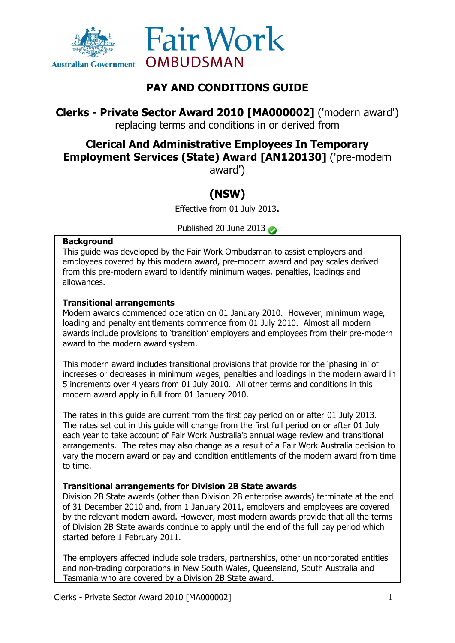



# **PAY AND CONDITIONS GUIDE**

**Clerks - Private Sector Award 2010 [MA000002]** ('modern award') replacing terms and conditions in or derived from

# **Clerical And Administrative Employees In Temporary Employment Services (State) Award [AN120130]** ('pre-modern

award')

# **(NSW)**

Effective from 01 July 2013.

Published 20 June 2013

#### **Background**

This guide was developed by the Fair Work Ombudsman to assist employers and employees covered by this modern award, pre-modern award and pay scales derived from this pre-modern award to identify minimum wages, penalties, loadings and allowances.

### **Transitional arrangements**

Modern awards commenced operation on 01 January 2010. However, minimum wage, loading and penalty entitlements commence from 01 July 2010. Almost all modern awards include provisions to 'transition' employers and employees from their pre-modern award to the modern award system.

This modern award includes transitional provisions that provide for the 'phasing in' of increases or decreases in minimum wages, penalties and loadings in the modern award in 5 increments over 4 years from 01 July 2010. All other terms and conditions in this modern award apply in full from 01 January 2010.

The rates in this guide are current from the first pay period on or after 01 July 2013. The rates set out in this guide will change from the first full period on or after 01 July each year to take account of Fair Work Australia's annual wage review and transitional arrangements. The rates may also change as a result of a Fair Work Australia decision to vary the modern award or pay and condition entitlements of the modern award from time to time.

# **Transitional arrangements for Division 2B State awards**

Division 2B State awards (other than Division 2B enterprise awards) terminate at the end of 31 December 2010 and, from 1 January 2011, employers and employees are covered by the relevant modern award. However, most modern awards provide that all the terms of Division 2B State awards continue to apply until the end of the full pay period which started before 1 February 2011.

The employers affected include sole traders, partnerships, other unincorporated entities and non-trading corporations in New South Wales, Queensland, South Australia and Tasmania who are covered by a Division 2B State award.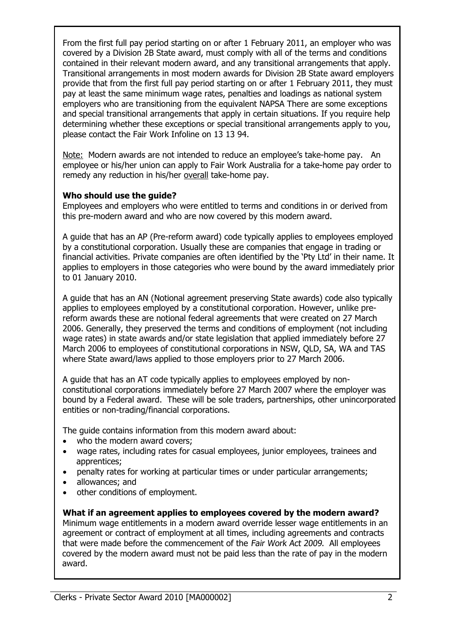From the first full pay period starting on or after 1 February 2011, an employer who was covered by a Division 2B State award, must comply with all of the terms and conditions contained in their relevant modern award, and any transitional arrangements that apply. Transitional arrangements in most modern awards for Division 2B State award employers provide that from the first full pay period starting on or after 1 February 2011, they must pay at least the same minimum wage rates, penalties and loadings as national system employers who are transitioning from the equivalent NAPSA There are some exceptions and special transitional arrangements that apply in certain situations. If you require help determining whether these exceptions or special transitional arrangements apply to you, please contact the Fair Work Infoline on 13 13 94.

Note: Modern awards are not intended to reduce an employee's take-home pay. An employee or his/her union can apply to Fair Work Australia for a take-home pay order to remedy any reduction in his/her overall take-home pay.

#### **Who should use the guide?**

Employees and employers who were entitled to terms and conditions in or derived from this pre-modern award and who are now covered by this modern award.

A guide that has an AP (Pre-reform award) code typically applies to employees employed by a constitutional corporation. Usually these are companies that engage in trading or financial activities. Private companies are often identified by the 'Pty Ltd' in their name. It applies to employers in those categories who were bound by the award immediately prior to 01 January 2010.

A guide that has an AN (Notional agreement preserving State awards) code also typically applies to employees employed by a constitutional corporation. However, unlike prereform awards these are notional federal agreements that were created on 27 March 2006. Generally, they preserved the terms and conditions of employment (not including wage rates) in state awards and/or state legislation that applied immediately before 27 March 2006 to employees of constitutional corporations in NSW, QLD, SA, WA and TAS where State award/laws applied to those employers prior to 27 March 2006.

A guide that has an AT code typically applies to employees employed by nonconstitutional corporations immediately before 27 March 2007 where the employer was bound by a Federal award. These will be sole traders, partnerships, other unincorporated entities or non-trading/financial corporations.

The guide contains information from this modern award about:

- who the modern award covers:
- wage rates, including rates for casual employees, junior employees, trainees and apprentices;
- penalty rates for working at particular times or under particular arrangements;
- allowances; and
- other conditions of employment.

**What if an agreement applies to employees covered by the modern award?** Minimum wage entitlements in a modern award override lesser wage entitlements in an agreement or contract of employment at all times, including agreements and contracts that were made before the commencement of the Fair Work Act 2009. All employees covered by the modern award must not be paid less than the rate of pay in the modern award.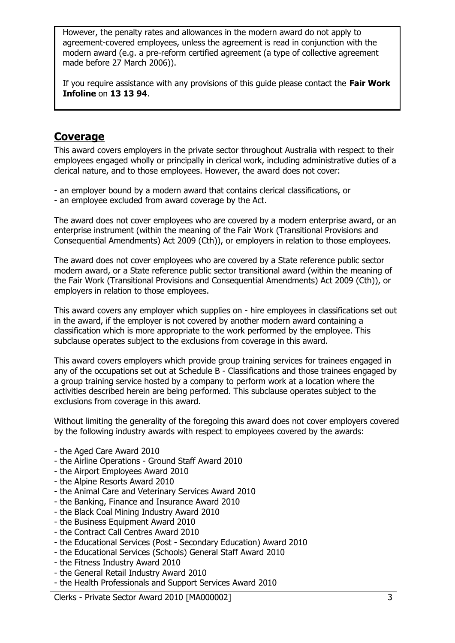However, the penalty rates and allowances in the modern award do not apply to agreement-covered employees, unless the agreement is read in conjunction with the modern award (e.g. a pre-reform certified agreement (a type of collective agreement made before 27 March 2006)).

If you require assistance with any provisions of this guide please contact the **Fair Work Infoline** on **13 13 94**.

# **Coverage**

This award covers employers in the private sector throughout Australia with respect to their employees engaged wholly or principally in clerical work, including administrative duties of a clerical nature, and to those employees. However, the award does not cover:

- an employer bound by a modern award that contains clerical classifications, or
- an employee excluded from award coverage by the Act.

The award does not cover employees who are covered by a modern enterprise award, or an enterprise instrument (within the meaning of the Fair Work (Transitional Provisions and Consequential Amendments) Act 2009 (Cth)), or employers in relation to those employees.

The award does not cover employees who are covered by a State reference public sector modern award, or a State reference public sector transitional award (within the meaning of the Fair Work (Transitional Provisions and Consequential Amendments) Act 2009 (Cth)), or employers in relation to those employees.

This award covers any employer which supplies on - hire employees in classifications set out in the award, if the employer is not covered by another modern award containing a classification which is more appropriate to the work performed by the employee. This subclause operates subject to the exclusions from coverage in this award.

This award covers employers which provide group training services for trainees engaged in any of the occupations set out at Schedule B - Classifications and those trainees engaged by a group training service hosted by a company to perform work at a location where the activities described herein are being performed. This subclause operates subject to the exclusions from coverage in this award.

Without limiting the generality of the foregoing this award does not cover employers covered by the following industry awards with respect to employees covered by the awards:

- the Aged Care Award 2010
- the Airline Operations Ground Staff Award 2010
- the Airport Employees Award 2010
- the Alpine Resorts Award 2010
- the Animal Care and Veterinary Services Award 2010
- the Banking, Finance and Insurance Award 2010
- the Black Coal Mining Industry Award 2010
- the Business Equipment Award 2010
- the Contract Call Centres Award 2010
- the Educational Services (Post Secondary Education) Award 2010
- the Educational Services (Schools) General Staff Award 2010
- the Fitness Industry Award 2010
- the General Retail Industry Award 2010
- the Health Professionals and Support Services Award 2010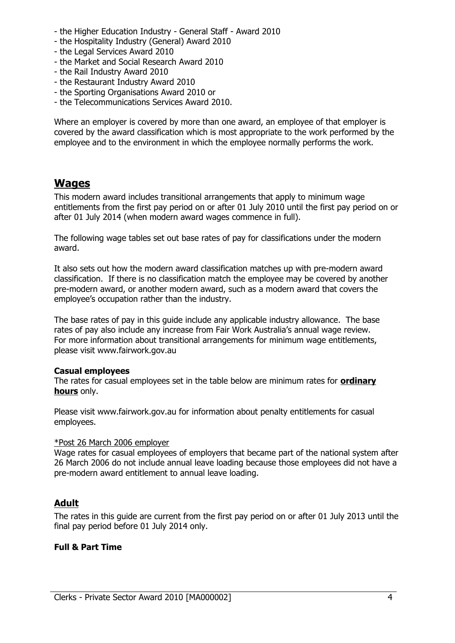- the Higher Education Industry General Staff Award 2010
- the Hospitality Industry (General) Award 2010
- the Legal Services Award 2010
- the Market and Social Research Award 2010
- the Rail Industry Award 2010
- the Restaurant Industry Award 2010
- the Sporting Organisations Award 2010 or
- the Telecommunications Services Award 2010.

Where an employer is covered by more than one award, an employee of that employer is covered by the award classification which is most appropriate to the work performed by the employee and to the environment in which the employee normally performs the work.

# **Wages**

This modern award includes transitional arrangements that apply to minimum wage entitlements from the first pay period on or after 01 July 2010 until the first pay period on or after 01 July 2014 (when modern award wages commence in full).

The following wage tables set out base rates of pay for classifications under the modern award.

It also sets out how the modern award classification matches up with pre-modern award classification. If there is no classification match the employee may be covered by another pre-modern award, or another modern award, such as a modern award that covers the employee's occupation rather than the industry.

The base rates of pay in this guide include any applicable industry allowance. The base rates of pay also include any increase from Fair Work Australia's annual wage review. For more information about transitional arrangements for minimum wage entitlements, please visit www.fairwork.gov.au

#### **Casual employees**

The rates for casual employees set in the table below are minimum rates for **ordinary hours** only.

Please visit www.fairwork.gov.au for information about penalty entitlements for casual employees.

#### \*Post 26 March 2006 employer

Wage rates for casual employees of employers that became part of the national system after 26 March 2006 do not include annual leave loading because those employees did not have a pre-modern award entitlement to annual leave loading.

# **Adult**

The rates in this guide are current from the first pay period on or after 01 July 2013 until the final pay period before 01 July 2014 only.

#### **Full & Part Time**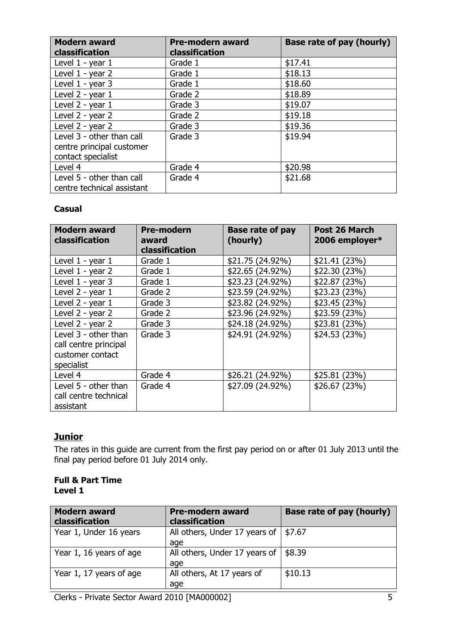| <b>Modern award</b><br>classification                   | <b>Pre-modern award</b><br>classification | Base rate of pay (hourly) |
|---------------------------------------------------------|-------------------------------------------|---------------------------|
| Level 1 - year 1                                        | Grade 1                                   | \$17.41                   |
| Level 1 - year 2                                        | Grade 1                                   | \$18.13                   |
| Level 1 - year 3                                        | Grade 1                                   | \$18.60                   |
| Level 2 - year 1                                        | Grade 2                                   | \$18.89                   |
| Level 2 - year 1                                        | Grade 3                                   | \$19.07                   |
| Level 2 - year 2                                        | Grade 2                                   | \$19.18                   |
| Level 2 - year 2                                        | Grade 3                                   | \$19.36                   |
| Level 3 - other than call                               | Grade 3                                   | \$19.94                   |
| centre principal customer                               |                                           |                           |
| contact specialist                                      |                                           |                           |
| Level 4                                                 | Grade 4                                   | \$20.98                   |
| Level 5 - other than call<br>centre technical assistant | Grade 4                                   | \$21.68                   |

### **Casual**

| <b>Modern award</b><br><b>classification</b>                                    | <b>Pre-modern</b><br>award | <b>Base rate of pay</b><br>(hourly) | Post 26 March<br>2006 employer* |
|---------------------------------------------------------------------------------|----------------------------|-------------------------------------|---------------------------------|
|                                                                                 | classification             |                                     |                                 |
| Level 1 - year 1                                                                | Grade 1                    | \$21.75 (24.92%)                    | \$21.41(23%)                    |
| Level 1 - year 2                                                                | Grade 1                    | \$22.65(24.92%)                     | \$22.30(23%)                    |
| Level $1 - year$ 3                                                              | Grade 1                    | \$23.23 (24.92%)                    | \$22.87(23%)                    |
| Level 2 - year 1                                                                | Grade 2                    | \$23.59 (24.92%)                    | \$23.23(23%)                    |
| Level 2 - year 1                                                                | Grade 3                    | \$23.82 (24.92%)                    | \$23.45(23%)                    |
| Level 2 - year 2                                                                | Grade 2                    | \$23.96 (24.92%)                    | \$23.59 (23%)                   |
| Level 2 - year 2                                                                | Grade 3                    | \$24.18 (24.92%)                    | \$23.81(23%)                    |
| Level 3 - other than<br>call centre principal<br>customer contact<br>specialist | Grade 3                    | \$24.91 (24.92%)                    | \$24.53(23%)                    |
| Level 4                                                                         | Grade 4                    | \$26.21 (24.92%)                    | \$25.81(23%)                    |
| Level 5 - other than<br>call centre technical<br>assistant                      | Grade 4                    | \$27.09 (24.92%)                    | \$26.67(23%)                    |

# **Junior**

The rates in this guide are current from the first pay period on or after 01 July 2013 until the final pay period before 01 July 2014 only.

#### **Full & Part Time Level 1**

| <b>Modern award</b><br>classification | <b>Pre-modern award</b><br>classification | Base rate of pay (hourly) |
|---------------------------------------|-------------------------------------------|---------------------------|
| Year 1, Under 16 years                | All others, Under 17 years of<br>age      | \$7.67                    |
| Year 1, 16 years of age               | All others, Under 17 years of<br>age      | \$8.39                    |
| Year 1, 17 years of age               | All others, At 17 years of<br>age         | \$10.13                   |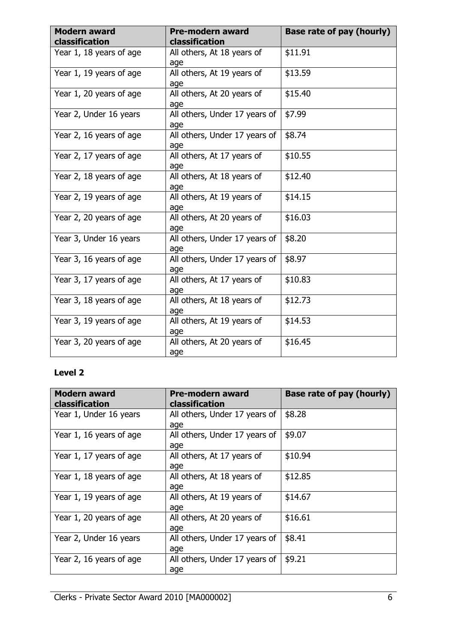| <b>Modern award</b><br>classification | <b>Pre-modern award</b><br>classification | <b>Base rate of pay (hourly)</b> |
|---------------------------------------|-------------------------------------------|----------------------------------|
| Year 1, 18 years of age               | All others, At 18 years of<br>age         | \$11.91                          |
| Year 1, 19 years of age               | All others, At 19 years of<br>age         | \$13.59                          |
| Year 1, 20 years of age               | All others, At 20 years of<br>age         | \$15.40                          |
| Year 2, Under 16 years                | All others, Under 17 years of<br>age      | \$7.99                           |
| Year 2, 16 years of age               | All others, Under 17 years of<br>age      | \$8.74                           |
| Year 2, 17 years of age               | All others, At 17 years of<br>age         | \$10.55                          |
| Year 2, 18 years of age               | All others, At 18 years of<br>age         | \$12.40                          |
| Year 2, 19 years of age               | All others, At 19 years of<br>age         | \$14.15                          |
| Year 2, 20 years of age               | All others, At 20 years of<br>age         | \$16.03                          |
| Year 3, Under 16 years                | All others, Under 17 years of<br>age      | \$8.20                           |
| Year 3, 16 years of age               | All others, Under 17 years of<br>age      | \$8.97                           |
| Year 3, 17 years of age               | All others, At 17 years of<br>age         | \$10.83                          |
| Year 3, 18 years of age               | All others, At 18 years of<br>age         | \$12.73                          |
| Year 3, 19 years of age               | All others, At 19 years of<br>age         | \$14.53                          |
| Year 3, 20 years of age               | All others, At 20 years of<br>age         | \$16.45                          |

# **Level 2**

| <b>Modern award</b><br>classification | <b>Pre-modern award</b><br>classification | Base rate of pay (hourly) |
|---------------------------------------|-------------------------------------------|---------------------------|
| Year 1, Under 16 years                | All others, Under 17 years of<br>age      | \$8.28                    |
| Year 1, 16 years of age               | All others, Under 17 years of<br>age      | \$9.07                    |
| Year 1, 17 years of age               | All others, At 17 years of<br>age         | \$10.94                   |
| Year 1, 18 years of age               | All others, At 18 years of<br>age         | \$12.85                   |
| Year 1, 19 years of age               | All others, At 19 years of<br>age         | \$14.67                   |
| Year 1, 20 years of age               | All others, At 20 years of<br>age         | \$16.61                   |
| Year 2, Under 16 years                | All others, Under 17 years of<br>age      | \$8.41                    |
| Year 2, 16 years of age               | All others, Under 17 years of<br>age      | \$9.21                    |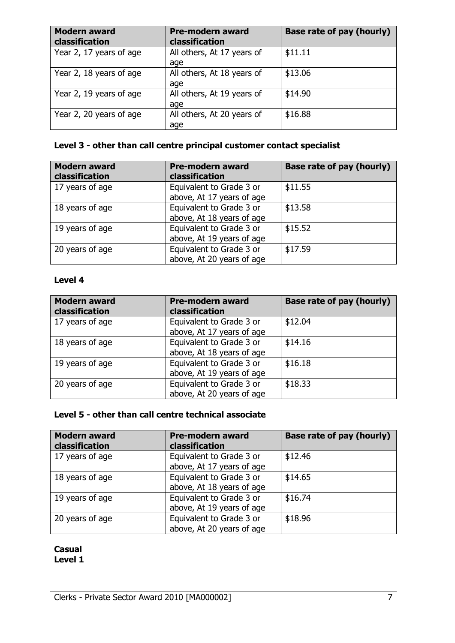| <b>Modern award</b><br><b>classification</b> | <b>Pre-modern award</b><br>classification | Base rate of pay (hourly) |
|----------------------------------------------|-------------------------------------------|---------------------------|
| Year 2, 17 years of age                      | All others, At 17 years of<br>age         | \$11.11                   |
| Year 2, 18 years of age                      | All others, At 18 years of<br>age         | \$13.06                   |
| Year 2, 19 years of age                      | All others, At 19 years of<br>age         | \$14.90                   |
| Year 2, 20 years of age                      | All others, At 20 years of<br>age         | \$16.88                   |

# **Level 3 - other than call centre principal customer contact specialist**

| <b>Modern award</b><br>classification | <b>Pre-modern award</b><br>classification             | <b>Base rate of pay (hourly)</b> |
|---------------------------------------|-------------------------------------------------------|----------------------------------|
| 17 years of age                       | Equivalent to Grade 3 or<br>above, At 17 years of age | \$11.55                          |
| 18 years of age                       | Equivalent to Grade 3 or<br>above, At 18 years of age | \$13.58                          |
| 19 years of age                       | Equivalent to Grade 3 or<br>above, At 19 years of age | \$15.52                          |
| 20 years of age                       | Equivalent to Grade 3 or<br>above, At 20 years of age | \$17.59                          |

#### **Level 4**

| <b>Modern award</b><br>classification | <b>Pre-modern award</b><br>classification             | Base rate of pay (hourly) |
|---------------------------------------|-------------------------------------------------------|---------------------------|
| 17 years of age                       | Equivalent to Grade 3 or<br>above, At 17 years of age | \$12.04                   |
| 18 years of age                       | Equivalent to Grade 3 or<br>above, At 18 years of age | \$14.16                   |
| 19 years of age                       | Equivalent to Grade 3 or<br>above, At 19 years of age | \$16.18                   |
| 20 years of age                       | Equivalent to Grade 3 or<br>above, At 20 years of age | \$18.33                   |

# **Level 5 - other than call centre technical associate**

| <b>Modern award</b><br>classification | <b>Pre-modern award</b><br>classification | Base rate of pay (hourly) |
|---------------------------------------|-------------------------------------------|---------------------------|
| 17 years of age                       | Equivalent to Grade 3 or                  | \$12.46                   |
|                                       | above, At 17 years of age                 |                           |
| 18 years of age                       | Equivalent to Grade 3 or                  | \$14.65                   |
|                                       | above, At 18 years of age                 |                           |
| 19 years of age                       | Equivalent to Grade 3 or                  | \$16.74                   |
|                                       | above, At 19 years of age                 |                           |
| 20 years of age                       | Equivalent to Grade 3 or                  | \$18.96                   |
|                                       | above, At 20 years of age                 |                           |

**Casual Level 1**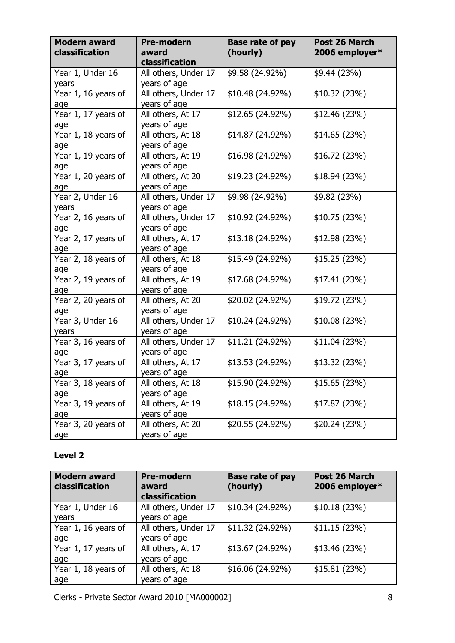| <b>Modern award</b><br>classification | <b>Pre-modern</b><br>award<br>classification | <b>Base rate of pay</b><br>(hourly) | Post 26 March<br>2006 employer* |
|---------------------------------------|----------------------------------------------|-------------------------------------|---------------------------------|
| Year 1, Under 16<br>years             | All others, Under 17<br>years of age         | \$9.58 (24.92%)                     | \$9.44 (23%)                    |
| Year 1, 16 years of<br>age            | All others, Under 17<br>years of age         | \$10.48 (24.92%)                    | \$10.32 (23%)                   |
| Year 1, 17 years of<br>age            | All others, At 17<br>years of age            | \$12.65 (24.92%)                    | \$12.46 (23%)                   |
| Year 1, 18 years of<br>age            | All others, At 18<br>years of age            | \$14.87 (24.92%)                    | \$14.65 (23%)                   |
| Year 1, 19 years of<br>age            | All others, At 19<br>years of age            | \$16.98 (24.92%)                    | \$16.72 (23%)                   |
| Year 1, 20 years of<br>age            | All others, At 20<br>years of age            | \$19.23 (24.92%)                    | \$18.94 (23%)                   |
| Year 2, Under 16<br>years             | All others, Under 17<br>years of age         | \$9.98 (24.92%)                     | \$9.82 (23%)                    |
| Year 2, 16 years of<br>age            | All others, Under 17<br>years of age         | \$10.92 (24.92%)                    | \$10.75(23%)                    |
| Year 2, 17 years of<br>age            | All others, At 17<br>years of age            | \$13.18 (24.92%)                    | \$12.98 (23%)                   |
| Year 2, 18 years of<br>age            | All others, At 18<br>years of age            | \$15.49 (24.92%)                    | \$15.25 (23%)                   |
| Year 2, 19 years of<br>age            | All others, At 19<br>years of age            | \$17.68 (24.92%)                    | \$17.41 (23%)                   |
| Year 2, 20 years of<br>age            | All others, At 20<br>years of age            | \$20.02 (24.92%)                    | \$19.72 (23%)                   |
| Year 3, Under 16<br>years             | All others, Under 17<br>years of age         | \$10.24 (24.92%)                    | \$10.08 (23%)                   |
| Year 3, 16 years of<br>age            | All others, Under 17<br>years of age         | \$11.21 (24.92%)                    | \$11.04 (23%)                   |
| Year 3, 17 years of<br>age            | All others, At 17<br>years of age            | \$13.53 (24.92%)                    | \$13.32 (23%)                   |
| Year 3, 18 years of<br>age            | All others, At 18<br>years of age            | \$15.90 (24.92%)                    | \$15.65(23%)                    |
| Year 3, 19 years of<br>age            | All others, At 19<br>years of age            | \$18.15 (24.92%)                    | \$17.87 (23%)                   |
| Year 3, 20 years of<br>age            | All others, At 20<br>years of age            | \$20.55 (24.92%)                    | \$20.24 (23%)                   |

# **Level 2**

| <b>Modern award</b><br>classification | <b>Pre-modern</b><br>award<br>classification | <b>Base rate of pay</b><br>(hourly) | Post 26 March<br>2006 employer* |
|---------------------------------------|----------------------------------------------|-------------------------------------|---------------------------------|
| Year 1, Under 16                      | All others, Under 17                         | \$10.34 (24.92%)                    | \$10.18(23%)                    |
| years                                 | years of age                                 |                                     |                                 |
| Year 1, 16 years of                   | All others, Under 17                         | \$11.32 (24.92%)                    | \$11.15(23%)                    |
| age                                   | years of age                                 |                                     |                                 |
| Year 1, 17 years of                   | All others, At 17                            | \$13.67 (24.92%)                    | \$13.46(23%)                    |
| age                                   | years of age                                 |                                     |                                 |
| Year 1, 18 years of                   | All others, At 18                            | \$16.06 (24.92%)                    | \$15.81(23%)                    |
| age                                   | years of age                                 |                                     |                                 |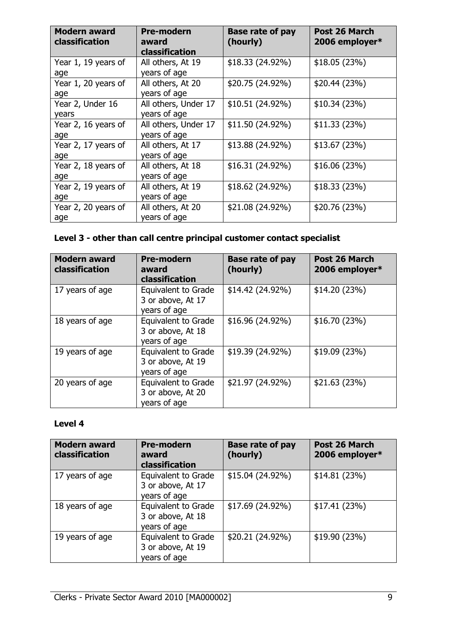| <b>Modern award</b><br>classification | <b>Pre-modern</b><br>award<br>classification | <b>Base rate of pay</b><br>(hourly) | Post 26 March<br>2006 employer* |
|---------------------------------------|----------------------------------------------|-------------------------------------|---------------------------------|
| Year 1, 19 years of<br>age            | All others, At 19<br>years of age            | $$18.33(24.92\%)$                   | \$18.05(23%)                    |
| Year 1, 20 years of<br>age            | All others, At 20<br>years of age            | \$20.75 (24.92%)                    | \$20.44 (23%)                   |
| Year 2, Under 16<br>years             | All others, Under 17<br>years of age         | \$10.51 (24.92%)                    | \$10.34(23%)                    |
| Year 2, 16 years of<br>age            | All others, Under 17<br>years of age         | \$11.50 (24.92%)                    | \$11.33(23%)                    |
| Year 2, 17 years of<br>age            | All others, At 17<br>years of age            | \$13.88 (24.92%)                    | \$13.67(23%)                    |
| Year 2, 18 years of<br>age            | All others, At 18<br>years of age            | \$16.31 (24.92%)                    | \$16.06(23%)                    |
| Year 2, 19 years of<br>age            | All others, At 19<br>years of age            | \$18.62 (24.92%)                    | \$18.33(23%)                    |
| Year 2, 20 years of<br>age            | All others, At 20<br>years of age            | \$21.08 (24.92%)                    | \$20.76 (23%)                   |

# **Level 3 - other than call centre principal customer contact specialist**

| <b>Modern award</b><br>classification | <b>Pre-modern</b><br>award<br>classification                    | <b>Base rate of pay</b><br>(hourly) | <b>Post 26 March</b><br>2006 employer* |
|---------------------------------------|-----------------------------------------------------------------|-------------------------------------|----------------------------------------|
| 17 years of age                       | <b>Equivalent to Grade</b><br>3 or above, At 17<br>years of age | \$14.42 (24.92%)                    | \$14.20 (23%)                          |
| 18 years of age                       | Equivalent to Grade<br>3 or above, At 18<br>years of age        | \$16.96 (24.92%)                    | \$16.70 (23%)                          |
| 19 years of age                       | <b>Equivalent to Grade</b><br>3 or above, At 19<br>years of age | \$19.39 (24.92%)                    | \$19.09(23%)                           |
| 20 years of age                       | <b>Equivalent to Grade</b><br>3 or above, At 20<br>years of age | \$21.97 (24.92%)                    | \$21.63 (23%)                          |

# **Level 4**

| <b>Modern award</b><br><b>classification</b> | <b>Pre-modern</b><br>award<br>classification                    | <b>Base rate of pay</b><br>(hourly) | Post 26 March<br>2006 employer* |
|----------------------------------------------|-----------------------------------------------------------------|-------------------------------------|---------------------------------|
| 17 years of age                              | Equivalent to Grade<br>3 or above, At 17<br>years of age        | \$15.04 (24.92%)                    | \$14.81(23%)                    |
| 18 years of age                              | Equivalent to Grade<br>3 or above, At 18<br>years of age        | \$17.69 (24.92%)                    | \$17.41(23%)                    |
| 19 years of age                              | <b>Equivalent to Grade</b><br>3 or above, At 19<br>years of age | \$20.21 (24.92%)                    | \$19.90(23%)                    |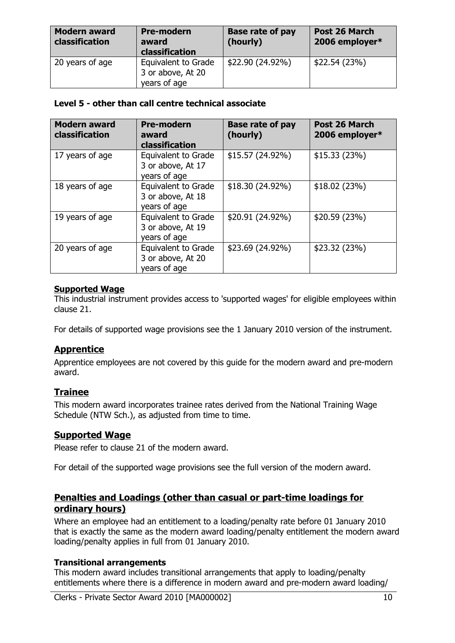| <b>Modern award</b><br>classification | <b>Pre-modern</b><br>award<br>classification             | <b>Base rate of pay</b><br>(hourly) | Post 26 March<br>2006 employer* |
|---------------------------------------|----------------------------------------------------------|-------------------------------------|---------------------------------|
| 20 years of age                       | Equivalent to Grade<br>3 or above, At 20<br>years of age | \$22.90 (24.92%)                    | \$22.54(23%)                    |

#### **Level 5 - other than call centre technical associate**

| <b>Modern award</b><br>classification | <b>Pre-modern</b><br>award<br>classification                    | <b>Base rate of pay</b><br>(hourly) | <b>Post 26 March</b><br>2006 employer* |
|---------------------------------------|-----------------------------------------------------------------|-------------------------------------|----------------------------------------|
| 17 years of age                       | Equivalent to Grade<br>3 or above, At 17<br>years of age        | \$15.57 (24.92%)                    | \$15.33(23%)                           |
| 18 years of age                       | Equivalent to Grade<br>3 or above, At 18<br>years of age        | \$18.30 (24.92%)                    | \$18.02(23%)                           |
| 19 years of age                       | Equivalent to Grade<br>3 or above, At 19<br>years of age        | \$20.91 (24.92%)                    | \$20.59(23%)                           |
| 20 years of age                       | <b>Equivalent to Grade</b><br>3 or above, At 20<br>years of age | \$23.69 (24.92%)                    | \$23.32 (23%)                          |

#### **Supported Wage**

This industrial instrument provides access to 'supported wages' for eligible employees within clause 21.

For details of supported wage provisions see the 1 January 2010 version of the instrument.

# **Apprentice**

Apprentice employees are not covered by this guide for the modern award and pre-modern award.

# **Trainee**

This modern award incorporates trainee rates derived from the National Training Wage Schedule (NTW Sch.), as adjusted from time to time.

# **Supported Wage**

Please refer to clause 21 of the modern award.

For detail of the supported wage provisions see the full version of the modern award.

# **Penalties and Loadings (other than casual or part-time loadings for ordinary hours)**

Where an employee had an entitlement to a loading/penalty rate before 01 January 2010 that is exactly the same as the modern award loading/penalty entitlement the modern award loading/penalty applies in full from 01 January 2010.

#### **Transitional arrangements**

This modern award includes transitional arrangements that apply to loading/penalty entitlements where there is a difference in modern award and pre-modern award loading/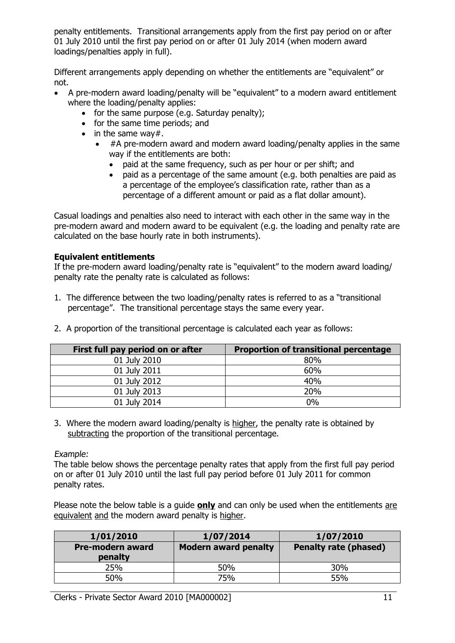penalty entitlements. Transitional arrangements apply from the first pay period on or after 01 July 2010 until the first pay period on or after 01 July 2014 (when modern award loadings/penalties apply in full).

Different arrangements apply depending on whether the entitlements are "equivalent" or not.

- A pre-modern award loading/penalty will be "equivalent" to a modern award entitlement where the loading/penalty applies:
	- for the same purpose (e.g. Saturday penalty);
	- for the same time periods; and
	- $\bullet$  in the same way#.
		- #A pre-modern award and modern award loading/penalty applies in the same way if the entitlements are both:
			- paid at the same frequency, such as per hour or per shift; and
			- paid as a percentage of the same amount (e.g. both penalties are paid as a percentage of the employee's classification rate, rather than as a percentage of a different amount or paid as a flat dollar amount).

Casual loadings and penalties also need to interact with each other in the same way in the pre-modern award and modern award to be equivalent (e.g. the loading and penalty rate are calculated on the base hourly rate in both instruments).

#### **Equivalent entitlements**

If the pre-modern award loading/penalty rate is "equivalent" to the modern award loading/ penalty rate the penalty rate is calculated as follows:

1. The difference between the two loading/penalty rates is referred to as a "transitional percentage". The transitional percentage stays the same every year.

| First full pay period on or after | <b>Proportion of transitional percentage</b> |
|-----------------------------------|----------------------------------------------|
| 01 July 2010                      | 80%                                          |
| 01 July 2011                      | 60%                                          |
| 01 July 2012                      | 40%                                          |
| 01 July 2013                      | 20%                                          |
| 01 July 2014                      | $0\%$                                        |

2. A proportion of the transitional percentage is calculated each year as follows:

3. Where the modern award loading/penalty is higher, the penalty rate is obtained by subtracting the proportion of the transitional percentage.

Example:

The table below shows the percentage penalty rates that apply from the first full pay period on or after 01 July 2010 until the last full pay period before 01 July 2011 for common penalty rates.

Please note the below table is a guide **only** and can only be used when the entitlements are equivalent and the modern award penalty is higher.

| 1/01/2010                   | 1/07/2014                   | 1/07/2010                    |
|-----------------------------|-----------------------------|------------------------------|
| Pre-modern award<br>penalty | <b>Modern award penalty</b> | <b>Penalty rate (phased)</b> |
| 25%                         | 50%                         | 30%                          |
| 50%                         | 75%                         | 55%                          |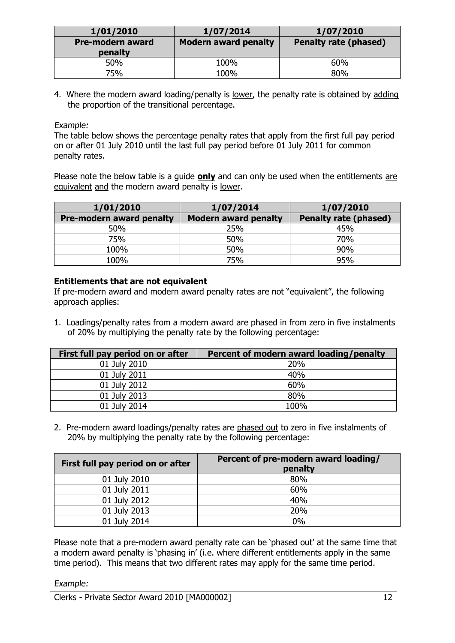| 1/01/2010                          | 1/07/2014                   | 1/07/2010                    |
|------------------------------------|-----------------------------|------------------------------|
| <b>Pre-modern award</b><br>penalty | <b>Modern award penalty</b> | <b>Penalty rate (phased)</b> |
| 50%                                | 100%                        | 60%                          |
| 75%                                | 100%                        | 80%                          |

4. Where the modern award loading/penalty is lower, the penalty rate is obtained by adding the proportion of the transitional percentage.

Example:

The table below shows the percentage penalty rates that apply from the first full pay period on or after 01 July 2010 until the last full pay period before 01 July 2011 for common penalty rates.

Please note the below table is a guide **only** and can only be used when the entitlements are equivalent and the modern award penalty is lower.

| 1/01/2010                       | 1/07/2014                   | 1/07/2010                    |
|---------------------------------|-----------------------------|------------------------------|
| <b>Pre-modern award penalty</b> | <b>Modern award penalty</b> | <b>Penalty rate (phased)</b> |
| 50%                             | 25%                         | 45%                          |
| 75%                             | 50%                         | 70%                          |
| 100%                            | 50%                         | 90%                          |
| 100%                            | 75%                         | 95%                          |

#### **Entitlements that are not equivalent**

If pre-modern award and modern award penalty rates are not "equivalent", the following approach applies:

1. Loadings/penalty rates from a modern award are phased in from zero in five instalments of 20% by multiplying the penalty rate by the following percentage:

| First full pay period on or after | Percent of modern award loading/penalty |
|-----------------------------------|-----------------------------------------|
| 01 July 2010                      | 20%                                     |
| 01 July 2011                      | 40%                                     |
| 01 July 2012                      | 60%                                     |
| 01 July 2013                      | 80%                                     |
| 01 July 2014                      | 100%                                    |

2. Pre-modern award loadings/penalty rates are phased out to zero in five instalments of 20% by multiplying the penalty rate by the following percentage:

| First full pay period on or after | Percent of pre-modern award loading/<br>penalty |
|-----------------------------------|-------------------------------------------------|
| 01 July 2010                      | 80%                                             |
| 01 July 2011                      | 60%                                             |
| 01 July 2012                      | 40%                                             |
| 01 July 2013                      | 20%                                             |
| 01 July 2014                      | 0%                                              |

Please note that a pre-modern award penalty rate can be 'phased out' at the same time that a modern award penalty is 'phasing in' (i.e. where different entitlements apply in the same time period). This means that two different rates may apply for the same time period.

#### Example: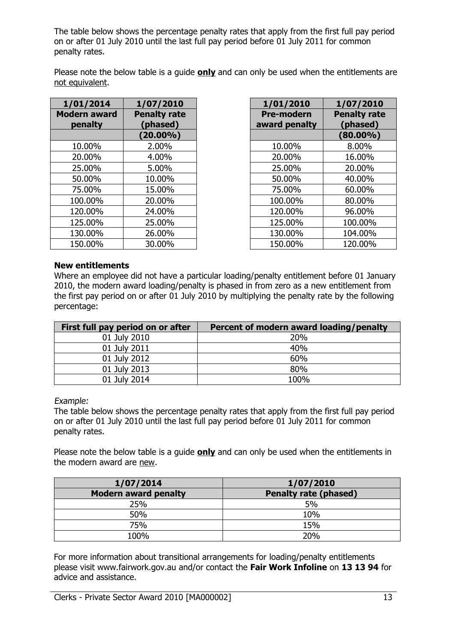The table below shows the percentage penalty rates that apply from the first full pay period on or after 01 July 2010 until the last full pay period before 01 July 2011 for common penalty rates.

Please note the below table is a guide **only** and can only be used when the entitlements are not equivalent.

| 1/01/2014                      | 1/07/2010                       | 1/01/2010                          | 1/07/2010                       |
|--------------------------------|---------------------------------|------------------------------------|---------------------------------|
| <b>Modern award</b><br>penalty | <b>Penalty rate</b><br>(phased) | <b>Pre-modern</b><br>award penalty | <b>Penalty rate</b><br>(phased) |
|                                | $(20.00\%)$                     |                                    | $(80.00\%)$                     |
| 10.00%                         | 2.00%                           | 10.00%                             | 8.00%                           |
| 20.00%                         | 4.00%                           | 20.00%                             | 16.00%                          |
| 25.00%                         | 5.00%                           | 25.00%                             | 20.00%                          |
| 50.00%                         | 10.00%                          | 50.00%                             | 40.00%                          |
| 75.00%                         | 15.00%                          | 75.00%                             | 60.00%                          |
| 100.00%                        | 20.00%                          | 100.00%                            | 80.00%                          |
| 120.00%                        | 24.00%                          | 120.00%                            | 96.00%                          |
| 125.00%                        | 25.00%                          | 125.00%                            | 100.00%                         |
| 130.00%                        | 26.00%                          | 130.00%                            | 104.00%                         |
| 150.00%                        | 30.00%                          | 150.00%                            | 120.00%                         |

|         | 1/07/2010                                       |
|---------|-------------------------------------------------|
|         | <b>Penalty rate</b><br>(phased)                 |
|         | $(80.00\%)$                                     |
| 10.00%  | 8.00%                                           |
| 20.00%  | 16.00%                                          |
| 25.00%  | 20.00%                                          |
| 50.00%  | 40.00%                                          |
| 75.00%  | 60.00%                                          |
| 100.00% | 80.00%                                          |
| 120.00% | 96.00%                                          |
| 125.00% | 100.00%                                         |
| 130.00% | 104.00%                                         |
| 150.00% | 120.00%                                         |
|         | 1/01/2010<br><b>Pre-modern</b><br>award penalty |

#### **New entitlements**

Where an employee did not have a particular loading/penalty entitlement before 01 January 2010, the modern award loading/penalty is phased in from zero as a new entitlement from the first pay period on or after 01 July 2010 by multiplying the penalty rate by the following percentage:

| First full pay period on or after | Percent of modern award loading/penalty |
|-----------------------------------|-----------------------------------------|
| 01 July 2010                      | 20%                                     |
| 01 July 2011                      | 40%                                     |
| 01 July 2012                      | 60%                                     |
| 01 July 2013                      | 80%                                     |
| 01 July 2014                      | 100%                                    |

Example:

The table below shows the percentage penalty rates that apply from the first full pay period on or after 01 July 2010 until the last full pay period before 01 July 2011 for common penalty rates.

Please note the below table is a guide **only** and can only be used when the entitlements in the modern award are new.

| 1/07/2014                   | 1/07/2010                    |
|-----------------------------|------------------------------|
| <b>Modern award penalty</b> | <b>Penalty rate (phased)</b> |
| 25%                         | 5%                           |
| 50%                         | 10%                          |
| 75%                         | 15%                          |
| 100%                        | 20%                          |

For more information about transitional arrangements for loading/penalty entitlements please visit www.fairwork.gov.au and/or contact the **Fair Work Infoline** on **13 13 94** for advice and assistance.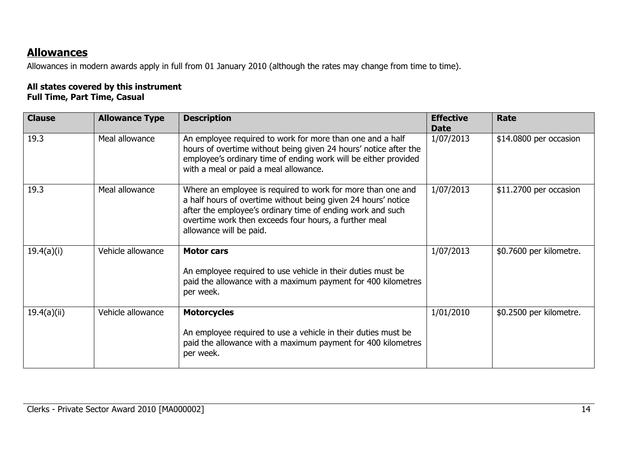# **Allowances**

Allowances in modern awards apply in full from 01 January 2010 (although the rates may change from time to time).

### **All states covered by this instrument Full Time, Part Time, Casual**

| <b>Clause</b> | <b>Allowance Type</b> | <b>Description</b>                                                                                                                                                                                                                                                             | <b>Effective</b><br><b>Date</b> | Rate                    |
|---------------|-----------------------|--------------------------------------------------------------------------------------------------------------------------------------------------------------------------------------------------------------------------------------------------------------------------------|---------------------------------|-------------------------|
| 19.3          | Meal allowance        | An employee required to work for more than one and a half<br>hours of overtime without being given 24 hours' notice after the<br>employee's ordinary time of ending work will be either provided<br>with a meal or paid a meal allowance.                                      | 1/07/2013                       | \$14.0800 per occasion  |
| 19.3          | Meal allowance        | Where an employee is required to work for more than one and<br>a half hours of overtime without being given 24 hours' notice<br>after the employee's ordinary time of ending work and such<br>overtime work then exceeds four hours, a further meal<br>allowance will be paid. | 1/07/2013                       | \$11.2700 per occasion  |
| 19.4(a)(i)    | Vehicle allowance     | <b>Motor cars</b>                                                                                                                                                                                                                                                              | 1/07/2013                       | \$0.7600 per kilometre. |
|               |                       | An employee required to use vehicle in their duties must be<br>paid the allowance with a maximum payment for 400 kilometres<br>per week.                                                                                                                                       |                                 |                         |
| 19.4(a)(ii)   | Vehicle allowance     | <b>Motorcycles</b>                                                                                                                                                                                                                                                             | 1/01/2010                       | \$0.2500 per kilometre. |
|               |                       | An employee required to use a vehicle in their duties must be<br>paid the allowance with a maximum payment for 400 kilometres<br>per week.                                                                                                                                     |                                 |                         |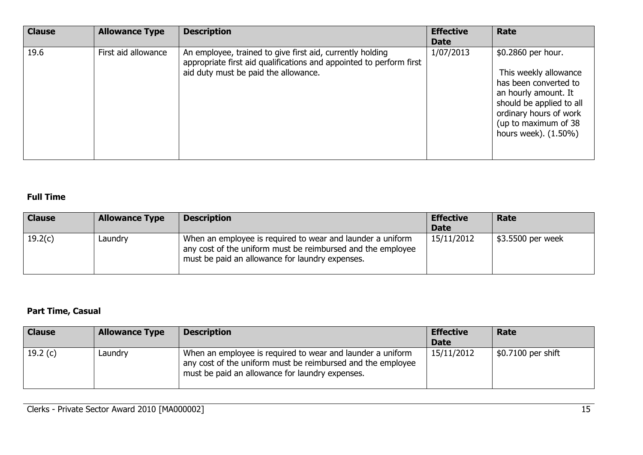| <b>Clause</b> | <b>Allowance Type</b> | <b>Description</b>                                                                                                                                                       | <b>Effective</b><br><b>Date</b> | Rate                                                                                                                                                                                               |
|---------------|-----------------------|--------------------------------------------------------------------------------------------------------------------------------------------------------------------------|---------------------------------|----------------------------------------------------------------------------------------------------------------------------------------------------------------------------------------------------|
| 19.6          | First aid allowance   | An employee, trained to give first aid, currently holding<br>appropriate first aid qualifications and appointed to perform first<br>aid duty must be paid the allowance. | 1/07/2013                       | \$0.2860 per hour.<br>This weekly allowance<br>has been converted to<br>an hourly amount. It<br>should be applied to all<br>ordinary hours of work<br>(up to maximum of 38<br>hours week). (1.50%) |

# **Full Time**

| <b>Clause</b> | <b>Allowance Type</b> | <b>Description</b>                                                                                                                                                           | <b>Effective</b><br><b>Date</b> | Rate              |
|---------------|-----------------------|------------------------------------------------------------------------------------------------------------------------------------------------------------------------------|---------------------------------|-------------------|
| 19.2(c)       | Laundry               | When an employee is required to wear and launder a uniform<br>any cost of the uniform must be reimbursed and the employee<br>must be paid an allowance for laundry expenses. | 15/11/2012                      | \$3.5500 per week |

# **Part Time, Casual**

| <b>Clause</b> | <b>Allowance Type</b> | <b>Description</b>                                                                                                                                                           | <b>Effective</b><br><b>Date</b> | Rate                             |
|---------------|-----------------------|------------------------------------------------------------------------------------------------------------------------------------------------------------------------------|---------------------------------|----------------------------------|
| 19.2 $(c)$    | Laundry               | When an employee is required to wear and launder a uniform<br>any cost of the uniform must be reimbursed and the employee<br>must be paid an allowance for laundry expenses. | 15/11/2012                      | $\frac{1}{2}$ \$0.7100 per shift |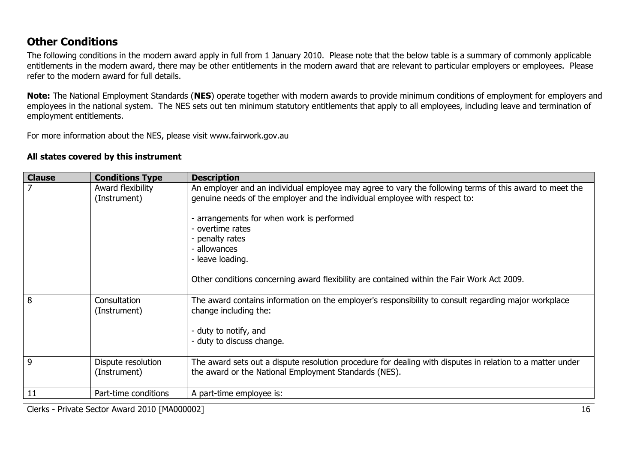# **Other Conditions**

The following conditions in the modern award apply in full from 1 January 2010. Please note that the below table is a summary of commonly applicable entitlements in the modern award, there may be other entitlements in the modern award that are relevant to particular employers or employees. Please refer to the modern award for full details.

**Note:** The National Employment Standards (**NES**) operate together with modern awards to provide minimum conditions of employment for employers and employees in the national system. The NES sets out ten minimum statutory entitlements that apply to all employees, including leave and termination of employment entitlements.

For more information about the NES, please visit www.fairwork.gov.au

#### **All states covered by this instrument**

| <b>Clause</b> | <b>Conditions Type</b>             | <b>Description</b>                                                                                                                                                                                                                                                                                                                                                                                       |
|---------------|------------------------------------|----------------------------------------------------------------------------------------------------------------------------------------------------------------------------------------------------------------------------------------------------------------------------------------------------------------------------------------------------------------------------------------------------------|
|               | Award flexibility<br>(Instrument)  | An employer and an individual employee may agree to vary the following terms of this award to meet the<br>genuine needs of the employer and the individual employee with respect to:<br>arrangements for when work is performed<br>- overtime rates<br>- penalty rates<br>- allowances<br>- leave loading.<br>Other conditions concerning award flexibility are contained within the Fair Work Act 2009. |
| 8             | Consultation<br>(Instrument)       | The award contains information on the employer's responsibility to consult regarding major workplace<br>change including the:<br>- duty to notify, and<br>- duty to discuss change.                                                                                                                                                                                                                      |
| 9             | Dispute resolution<br>(Instrument) | The award sets out a dispute resolution procedure for dealing with disputes in relation to a matter under<br>the award or the National Employment Standards (NES).                                                                                                                                                                                                                                       |
| 11            | Part-time conditions               | A part-time employee is:                                                                                                                                                                                                                                                                                                                                                                                 |

Clerks - Private Sector Award 2010 [MA000002] 16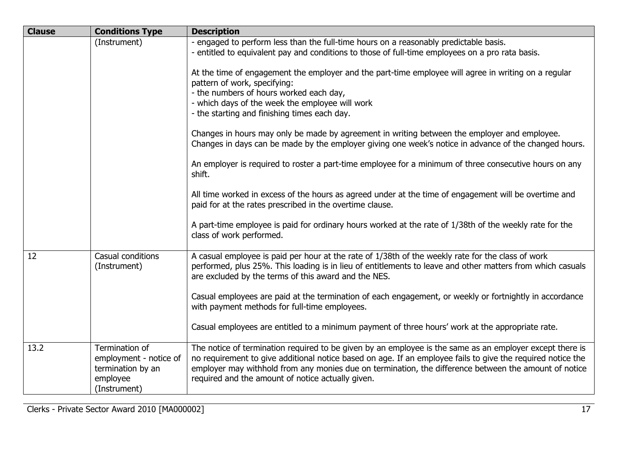| <b>Clause</b> | <b>Conditions Type</b>                                                                    | <b>Description</b>                                                                                                                                                                                                                                                                                                                                                                    |
|---------------|-------------------------------------------------------------------------------------------|---------------------------------------------------------------------------------------------------------------------------------------------------------------------------------------------------------------------------------------------------------------------------------------------------------------------------------------------------------------------------------------|
|               | (Instrument)                                                                              | - engaged to perform less than the full-time hours on a reasonably predictable basis.<br>- entitled to equivalent pay and conditions to those of full-time employees on a pro rata basis.                                                                                                                                                                                             |
|               |                                                                                           | At the time of engagement the employer and the part-time employee will agree in writing on a regular<br>pattern of work, specifying:<br>- the numbers of hours worked each day,<br>- which days of the week the employee will work<br>- the starting and finishing times each day.                                                                                                    |
|               |                                                                                           | Changes in hours may only be made by agreement in writing between the employer and employee.<br>Changes in days can be made by the employer giving one week's notice in advance of the changed hours.                                                                                                                                                                                 |
|               |                                                                                           | An employer is required to roster a part-time employee for a minimum of three consecutive hours on any<br>shift.                                                                                                                                                                                                                                                                      |
|               |                                                                                           | All time worked in excess of the hours as agreed under at the time of engagement will be overtime and<br>paid for at the rates prescribed in the overtime clause.                                                                                                                                                                                                                     |
|               |                                                                                           | A part-time employee is paid for ordinary hours worked at the rate of 1/38th of the weekly rate for the<br>class of work performed.                                                                                                                                                                                                                                                   |
| 12            | Casual conditions<br>(Instrument)                                                         | A casual employee is paid per hour at the rate of 1/38th of the weekly rate for the class of work<br>performed, plus 25%. This loading is in lieu of entitlements to leave and other matters from which casuals<br>are excluded by the terms of this award and the NES.                                                                                                               |
|               |                                                                                           | Casual employees are paid at the termination of each engagement, or weekly or fortnightly in accordance<br>with payment methods for full-time employees.                                                                                                                                                                                                                              |
|               |                                                                                           | Casual employees are entitled to a minimum payment of three hours' work at the appropriate rate.                                                                                                                                                                                                                                                                                      |
| 13.2          | Termination of<br>employment - notice of<br>termination by an<br>employee<br>(Instrument) | The notice of termination required to be given by an employee is the same as an employer except there is<br>no requirement to give additional notice based on age. If an employee fails to give the required notice the<br>employer may withhold from any monies due on termination, the difference between the amount of notice<br>required and the amount of notice actually given. |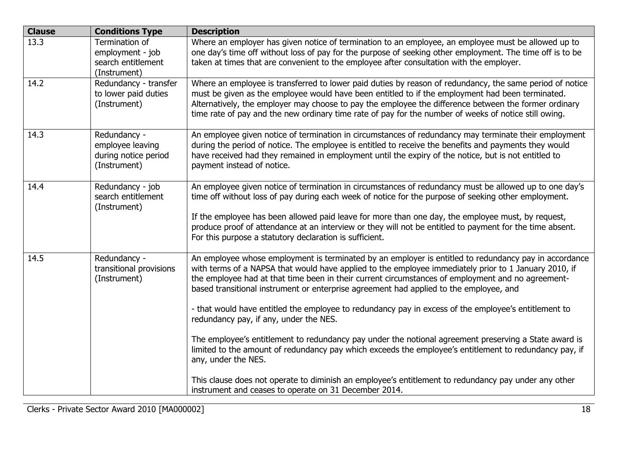| <b>Clause</b> | <b>Conditions Type</b>                                                   | <b>Description</b>                                                                                                                                                                                                                                                                                                                                                                                                                                                                                                                                                                                                                                                                                                                                                                 |
|---------------|--------------------------------------------------------------------------|------------------------------------------------------------------------------------------------------------------------------------------------------------------------------------------------------------------------------------------------------------------------------------------------------------------------------------------------------------------------------------------------------------------------------------------------------------------------------------------------------------------------------------------------------------------------------------------------------------------------------------------------------------------------------------------------------------------------------------------------------------------------------------|
| 13.3          | Termination of<br>employment - job<br>search entitlement<br>(Instrument) | Where an employer has given notice of termination to an employee, an employee must be allowed up to<br>one day's time off without loss of pay for the purpose of seeking other employment. The time off is to be<br>taken at times that are convenient to the employee after consultation with the employer.                                                                                                                                                                                                                                                                                                                                                                                                                                                                       |
| 14.2          | Redundancy - transfer<br>to lower paid duties<br>(Instrument)            | Where an employee is transferred to lower paid duties by reason of redundancy, the same period of notice<br>must be given as the employee would have been entitled to if the employment had been terminated.<br>Alternatively, the employer may choose to pay the employee the difference between the former ordinary<br>time rate of pay and the new ordinary time rate of pay for the number of weeks of notice still owing.                                                                                                                                                                                                                                                                                                                                                     |
| 14.3          | Redundancy -<br>employee leaving<br>during notice period<br>(Instrument) | An employee given notice of termination in circumstances of redundancy may terminate their employment<br>during the period of notice. The employee is entitled to receive the benefits and payments they would<br>have received had they remained in employment until the expiry of the notice, but is not entitled to<br>payment instead of notice.                                                                                                                                                                                                                                                                                                                                                                                                                               |
| 14.4          | Redundancy - job<br>search entitlement<br>(Instrument)                   | An employee given notice of termination in circumstances of redundancy must be allowed up to one day's<br>time off without loss of pay during each week of notice for the purpose of seeking other employment.<br>If the employee has been allowed paid leave for more than one day, the employee must, by request,<br>produce proof of attendance at an interview or they will not be entitled to payment for the time absent.<br>For this purpose a statutory declaration is sufficient.                                                                                                                                                                                                                                                                                         |
| 14.5          | Redundancy -<br>transitional provisions<br>(Instrument)                  | An employee whose employment is terminated by an employer is entitled to redundancy pay in accordance<br>with terms of a NAPSA that would have applied to the employee immediately prior to 1 January 2010, if<br>the employee had at that time been in their current circumstances of employment and no agreement-<br>based transitional instrument or enterprise agreement had applied to the employee, and<br>- that would have entitled the employee to redundancy pay in excess of the employee's entitlement to<br>redundancy pay, if any, under the NES.<br>The employee's entitlement to redundancy pay under the notional agreement preserving a State award is<br>limited to the amount of redundancy pay which exceeds the employee's entitlement to redundancy pay, if |
|               |                                                                          | any, under the NES.<br>This clause does not operate to diminish an employee's entitlement to redundancy pay under any other<br>instrument and ceases to operate on 31 December 2014.                                                                                                                                                                                                                                                                                                                                                                                                                                                                                                                                                                                               |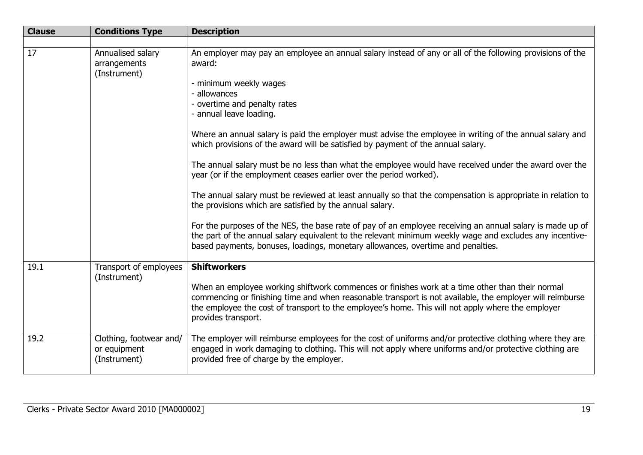| <b>Clause</b> | <b>Conditions Type</b>                                  | <b>Description</b>                                                                                                                                                                                                                                                                                                                      |
|---------------|---------------------------------------------------------|-----------------------------------------------------------------------------------------------------------------------------------------------------------------------------------------------------------------------------------------------------------------------------------------------------------------------------------------|
|               |                                                         |                                                                                                                                                                                                                                                                                                                                         |
| 17            | Annualised salary<br>arrangements<br>(Instrument)       | An employer may pay an employee an annual salary instead of any or all of the following provisions of the<br>award:<br>- minimum weekly wages                                                                                                                                                                                           |
|               |                                                         | - allowances<br>- overtime and penalty rates<br>- annual leave loading.                                                                                                                                                                                                                                                                 |
|               |                                                         | Where an annual salary is paid the employer must advise the employee in writing of the annual salary and<br>which provisions of the award will be satisfied by payment of the annual salary.                                                                                                                                            |
|               |                                                         | The annual salary must be no less than what the employee would have received under the award over the<br>year (or if the employment ceases earlier over the period worked).                                                                                                                                                             |
|               |                                                         | The annual salary must be reviewed at least annually so that the compensation is appropriate in relation to<br>the provisions which are satisfied by the annual salary.                                                                                                                                                                 |
|               |                                                         | For the purposes of the NES, the base rate of pay of an employee receiving an annual salary is made up of<br>the part of the annual salary equivalent to the relevant minimum weekly wage and excludes any incentive-<br>based payments, bonuses, loadings, monetary allowances, overtime and penalties.                                |
| 19.1          | Transport of employees<br>(Instrument)                  | <b>Shiftworkers</b>                                                                                                                                                                                                                                                                                                                     |
|               |                                                         | When an employee working shiftwork commences or finishes work at a time other than their normal<br>commencing or finishing time and when reasonable transport is not available, the employer will reimburse<br>the employee the cost of transport to the employee's home. This will not apply where the employer<br>provides transport. |
| 19.2          | Clothing, footwear and/<br>or equipment<br>(Instrument) | The employer will reimburse employees for the cost of uniforms and/or protective clothing where they are<br>engaged in work damaging to clothing. This will not apply where uniforms and/or protective clothing are<br>provided free of charge by the employer.                                                                         |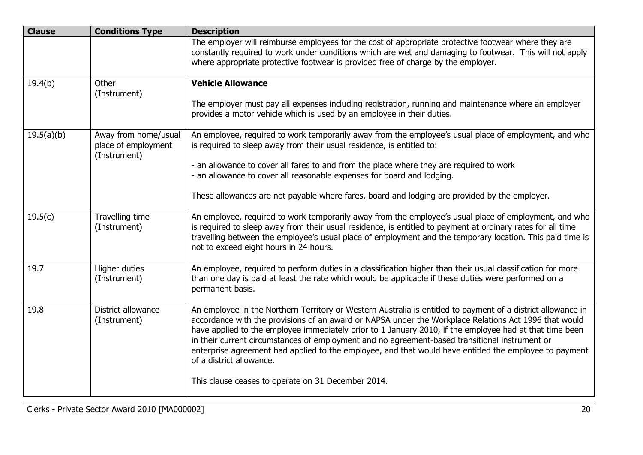| <b>Clause</b> | <b>Conditions Type</b>                                      | <b>Description</b>                                                                                                                                                                                                                                                                                                                                                                                                                                                                                                                                                       |
|---------------|-------------------------------------------------------------|--------------------------------------------------------------------------------------------------------------------------------------------------------------------------------------------------------------------------------------------------------------------------------------------------------------------------------------------------------------------------------------------------------------------------------------------------------------------------------------------------------------------------------------------------------------------------|
|               |                                                             | The employer will reimburse employees for the cost of appropriate protective footwear where they are<br>constantly required to work under conditions which are wet and damaging to footwear. This will not apply<br>where appropriate protective footwear is provided free of charge by the employer.                                                                                                                                                                                                                                                                    |
|               |                                                             |                                                                                                                                                                                                                                                                                                                                                                                                                                                                                                                                                                          |
| 19.4(b)       | Other<br>(Instrument)                                       | <b>Vehicle Allowance</b>                                                                                                                                                                                                                                                                                                                                                                                                                                                                                                                                                 |
|               |                                                             | The employer must pay all expenses including registration, running and maintenance where an employer<br>provides a motor vehicle which is used by an employee in their duties.                                                                                                                                                                                                                                                                                                                                                                                           |
| 19.5(a)(b)    | Away from home/usual<br>place of employment<br>(Instrument) | An employee, required to work temporarily away from the employee's usual place of employment, and who<br>is required to sleep away from their usual residence, is entitled to:                                                                                                                                                                                                                                                                                                                                                                                           |
|               |                                                             | - an allowance to cover all fares to and from the place where they are required to work<br>- an allowance to cover all reasonable expenses for board and lodging.                                                                                                                                                                                                                                                                                                                                                                                                        |
|               |                                                             | These allowances are not payable where fares, board and lodging are provided by the employer.                                                                                                                                                                                                                                                                                                                                                                                                                                                                            |
| 19.5(c)       | Travelling time<br>(Instrument)                             | An employee, required to work temporarily away from the employee's usual place of employment, and who<br>is required to sleep away from their usual residence, is entitled to payment at ordinary rates for all time<br>travelling between the employee's usual place of employment and the temporary location. This paid time is<br>not to exceed eight hours in 24 hours.                                                                                                                                                                                              |
| 19.7          | Higher duties<br>(Instrument)                               | An employee, required to perform duties in a classification higher than their usual classification for more<br>than one day is paid at least the rate which would be applicable if these duties were performed on a<br>permanent basis.                                                                                                                                                                                                                                                                                                                                  |
| 19.8          | District allowance<br>(Instrument)                          | An employee in the Northern Territory or Western Australia is entitled to payment of a district allowance in<br>accordance with the provisions of an award or NAPSA under the Workplace Relations Act 1996 that would<br>have applied to the employee immediately prior to 1 January 2010, if the employee had at that time been<br>in their current circumstances of employment and no agreement-based transitional instrument or<br>enterprise agreement had applied to the employee, and that would have entitled the employee to payment<br>of a district allowance. |
|               |                                                             | This clause ceases to operate on 31 December 2014.                                                                                                                                                                                                                                                                                                                                                                                                                                                                                                                       |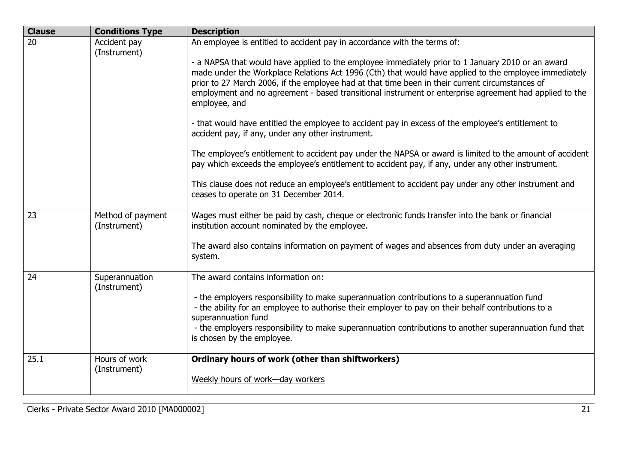| <b>Clause</b> | <b>Conditions Type</b>            | <b>Description</b>                                                                                                                                                                                                                                                                                                                                                                                                                       |
|---------------|-----------------------------------|------------------------------------------------------------------------------------------------------------------------------------------------------------------------------------------------------------------------------------------------------------------------------------------------------------------------------------------------------------------------------------------------------------------------------------------|
| 20            | Accident pay<br>(Instrument)      | An employee is entitled to accident pay in accordance with the terms of:                                                                                                                                                                                                                                                                                                                                                                 |
|               |                                   | - a NAPSA that would have applied to the employee immediately prior to 1 January 2010 or an award<br>made under the Workplace Relations Act 1996 (Cth) that would have applied to the employee immediately<br>prior to 27 March 2006, if the employee had at that time been in their current circumstances of<br>employment and no agreement - based transitional instrument or enterprise agreement had applied to the<br>employee, and |
|               |                                   | - that would have entitled the employee to accident pay in excess of the employee's entitlement to<br>accident pay, if any, under any other instrument.                                                                                                                                                                                                                                                                                  |
|               |                                   | The employee's entitlement to accident pay under the NAPSA or award is limited to the amount of accident<br>pay which exceeds the employee's entitlement to accident pay, if any, under any other instrument.                                                                                                                                                                                                                            |
|               |                                   | This clause does not reduce an employee's entitlement to accident pay under any other instrument and<br>ceases to operate on 31 December 2014.                                                                                                                                                                                                                                                                                           |
| 23            | Method of payment<br>(Instrument) | Wages must either be paid by cash, cheque or electronic funds transfer into the bank or financial<br>institution account nominated by the employee.                                                                                                                                                                                                                                                                                      |
|               |                                   | The award also contains information on payment of wages and absences from duty under an averaging<br>system.                                                                                                                                                                                                                                                                                                                             |
| 24            | Superannuation<br>(Instrument)    | The award contains information on:                                                                                                                                                                                                                                                                                                                                                                                                       |
|               |                                   | - the employers responsibility to make superannuation contributions to a superannuation fund<br>- the ability for an employee to authorise their employer to pay on their behalf contributions to a                                                                                                                                                                                                                                      |
|               |                                   | superannuation fund                                                                                                                                                                                                                                                                                                                                                                                                                      |
|               |                                   | - the employers responsibility to make superannuation contributions to another superannuation fund that<br>is chosen by the employee.                                                                                                                                                                                                                                                                                                    |
| 25.1          | Hours of work<br>(Instrument)     | Ordinary hours of work (other than shiftworkers)                                                                                                                                                                                                                                                                                                                                                                                         |
|               |                                   | Weekly hours of work-day workers                                                                                                                                                                                                                                                                                                                                                                                                         |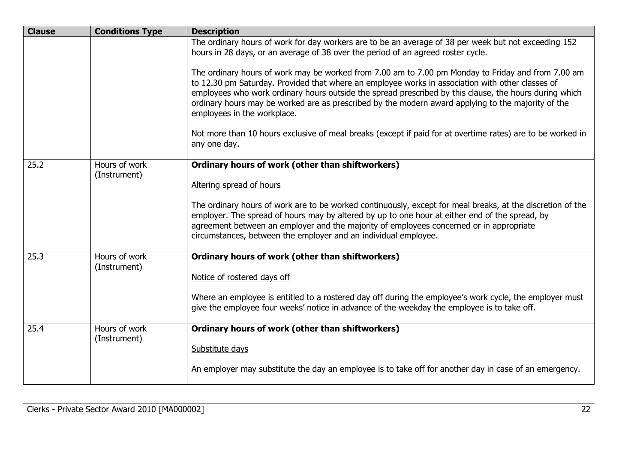| <b>Clause</b> | <b>Conditions Type</b>        | <b>Description</b>                                                                                                                                                                                                                                                                                                                                                                                                                                    |
|---------------|-------------------------------|-------------------------------------------------------------------------------------------------------------------------------------------------------------------------------------------------------------------------------------------------------------------------------------------------------------------------------------------------------------------------------------------------------------------------------------------------------|
|               |                               | The ordinary hours of work for day workers are to be an average of 38 per week but not exceeding 152<br>hours in 28 days, or an average of 38 over the period of an agreed roster cycle.                                                                                                                                                                                                                                                              |
|               |                               | The ordinary hours of work may be worked from 7.00 am to 7.00 pm Monday to Friday and from 7.00 am<br>to 12.30 pm Saturday. Provided that where an employee works in association with other classes of<br>employees who work ordinary hours outside the spread prescribed by this clause, the hours during which<br>ordinary hours may be worked are as prescribed by the modern award applying to the majority of the<br>employees in the workplace. |
|               |                               | Not more than 10 hours exclusive of meal breaks (except if paid for at overtime rates) are to be worked in<br>any one day.                                                                                                                                                                                                                                                                                                                            |
| 25.2          | Hours of work<br>(Instrument) | Ordinary hours of work (other than shiftworkers)                                                                                                                                                                                                                                                                                                                                                                                                      |
|               |                               | Altering spread of hours                                                                                                                                                                                                                                                                                                                                                                                                                              |
|               |                               | The ordinary hours of work are to be worked continuously, except for meal breaks, at the discretion of the<br>employer. The spread of hours may by altered by up to one hour at either end of the spread, by<br>agreement between an employer and the majority of employees concerned or in appropriate<br>circumstances, between the employer and an individual employee.                                                                            |
| 25.3          | Hours of work<br>(Instrument) | Ordinary hours of work (other than shiftworkers)                                                                                                                                                                                                                                                                                                                                                                                                      |
|               |                               | Notice of rostered days off                                                                                                                                                                                                                                                                                                                                                                                                                           |
|               |                               | Where an employee is entitled to a rostered day off during the employee's work cycle, the employer must<br>give the employee four weeks' notice in advance of the weekday the employee is to take off.                                                                                                                                                                                                                                                |
| 25.4          | Hours of work<br>(Instrument) | Ordinary hours of work (other than shiftworkers)                                                                                                                                                                                                                                                                                                                                                                                                      |
|               |                               | Substitute days                                                                                                                                                                                                                                                                                                                                                                                                                                       |
|               |                               | An employer may substitute the day an employee is to take off for another day in case of an emergency.                                                                                                                                                                                                                                                                                                                                                |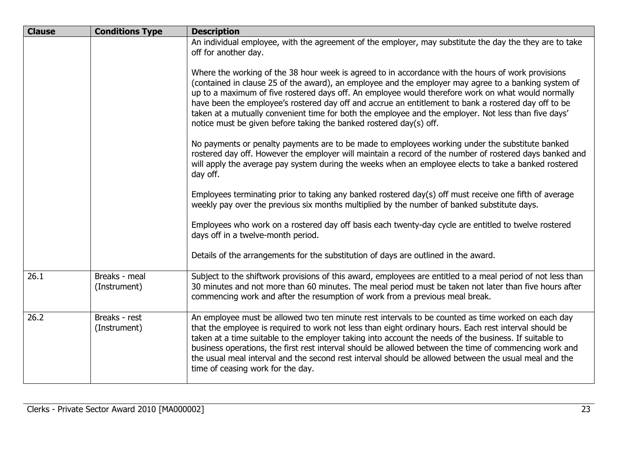| <b>Clause</b> | <b>Conditions Type</b>        | <b>Description</b>                                                                                                                                                                                                                                                                                                                                                                                                                                                                                                                                                                                     |
|---------------|-------------------------------|--------------------------------------------------------------------------------------------------------------------------------------------------------------------------------------------------------------------------------------------------------------------------------------------------------------------------------------------------------------------------------------------------------------------------------------------------------------------------------------------------------------------------------------------------------------------------------------------------------|
|               |                               | An individual employee, with the agreement of the employer, may substitute the day the they are to take<br>off for another day.                                                                                                                                                                                                                                                                                                                                                                                                                                                                        |
|               |                               | Where the working of the 38 hour week is agreed to in accordance with the hours of work provisions<br>(contained in clause 25 of the award), an employee and the employer may agree to a banking system of<br>up to a maximum of five rostered days off. An employee would therefore work on what would normally<br>have been the employee's rostered day off and accrue an entitlement to bank a rostered day off to be<br>taken at a mutually convenient time for both the employee and the employer. Not less than five days'<br>notice must be given before taking the banked rostered day(s) off. |
|               |                               | No payments or penalty payments are to be made to employees working under the substitute banked<br>rostered day off. However the employer will maintain a record of the number of rostered days banked and<br>will apply the average pay system during the weeks when an employee elects to take a banked rostered<br>day off.                                                                                                                                                                                                                                                                         |
|               |                               | Employees terminating prior to taking any banked rostered day(s) off must receive one fifth of average<br>weekly pay over the previous six months multiplied by the number of banked substitute days.                                                                                                                                                                                                                                                                                                                                                                                                  |
|               |                               | Employees who work on a rostered day off basis each twenty-day cycle are entitled to twelve rostered<br>days off in a twelve-month period.                                                                                                                                                                                                                                                                                                                                                                                                                                                             |
|               |                               | Details of the arrangements for the substitution of days are outlined in the award.                                                                                                                                                                                                                                                                                                                                                                                                                                                                                                                    |
| 26.1          | Breaks - meal<br>(Instrument) | Subject to the shiftwork provisions of this award, employees are entitled to a meal period of not less than<br>30 minutes and not more than 60 minutes. The meal period must be taken not later than five hours after<br>commencing work and after the resumption of work from a previous meal break.                                                                                                                                                                                                                                                                                                  |
| 26.2          | Breaks - rest<br>(Instrument) | An employee must be allowed two ten minute rest intervals to be counted as time worked on each day<br>that the employee is required to work not less than eight ordinary hours. Each rest interval should be<br>taken at a time suitable to the employer taking into account the needs of the business. If suitable to<br>business operations, the first rest interval should be allowed between the time of commencing work and<br>the usual meal interval and the second rest interval should be allowed between the usual meal and the<br>time of ceasing work for the day.                         |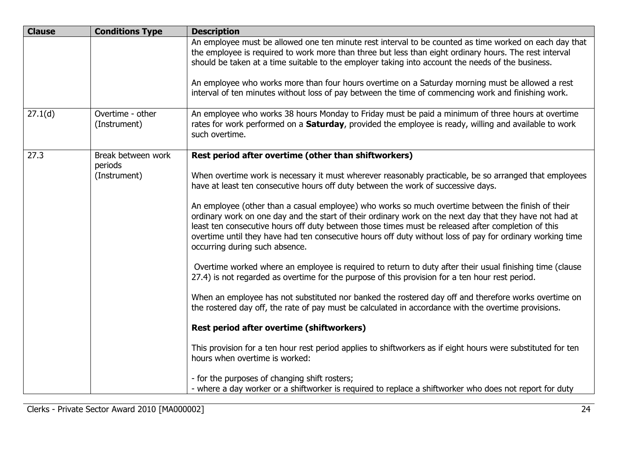| <b>Clause</b> | <b>Conditions Type</b>           | <b>Description</b>                                                                                                                                                                                                                                                                                                                                                                                                                                                |
|---------------|----------------------------------|-------------------------------------------------------------------------------------------------------------------------------------------------------------------------------------------------------------------------------------------------------------------------------------------------------------------------------------------------------------------------------------------------------------------------------------------------------------------|
|               |                                  | An employee must be allowed one ten minute rest interval to be counted as time worked on each day that<br>the employee is required to work more than three but less than eight ordinary hours. The rest interval<br>should be taken at a time suitable to the employer taking into account the needs of the business.                                                                                                                                             |
|               |                                  | An employee who works more than four hours overtime on a Saturday morning must be allowed a rest<br>interval of ten minutes without loss of pay between the time of commencing work and finishing work.                                                                                                                                                                                                                                                           |
| 27.1(d)       | Overtime - other<br>(Instrument) | An employee who works 38 hours Monday to Friday must be paid a minimum of three hours at overtime<br>rates for work performed on a <b>Saturday</b> , provided the employee is ready, willing and available to work<br>such overtime.                                                                                                                                                                                                                              |
| 27.3          | Break between work<br>periods    | Rest period after overtime (other than shiftworkers)                                                                                                                                                                                                                                                                                                                                                                                                              |
|               | (Instrument)                     | When overtime work is necessary it must wherever reasonably practicable, be so arranged that employees<br>have at least ten consecutive hours off duty between the work of successive days.                                                                                                                                                                                                                                                                       |
|               |                                  | An employee (other than a casual employee) who works so much overtime between the finish of their<br>ordinary work on one day and the start of their ordinary work on the next day that they have not had at<br>least ten consecutive hours off duty between those times must be released after completion of this<br>overtime until they have had ten consecutive hours off duty without loss of pay for ordinary working time<br>occurring during such absence. |
|               |                                  | Overtime worked where an employee is required to return to duty after their usual finishing time (clause<br>27.4) is not regarded as overtime for the purpose of this provision for a ten hour rest period.                                                                                                                                                                                                                                                       |
|               |                                  | When an employee has not substituted nor banked the rostered day off and therefore works overtime on<br>the rostered day off, the rate of pay must be calculated in accordance with the overtime provisions.                                                                                                                                                                                                                                                      |
|               |                                  | Rest period after overtime (shiftworkers)                                                                                                                                                                                                                                                                                                                                                                                                                         |
|               |                                  | This provision for a ten hour rest period applies to shiftworkers as if eight hours were substituted for ten<br>hours when overtime is worked:                                                                                                                                                                                                                                                                                                                    |
|               |                                  | - for the purposes of changing shift rosters;<br>- where a day worker or a shiftworker is required to replace a shiftworker who does not report for duty                                                                                                                                                                                                                                                                                                          |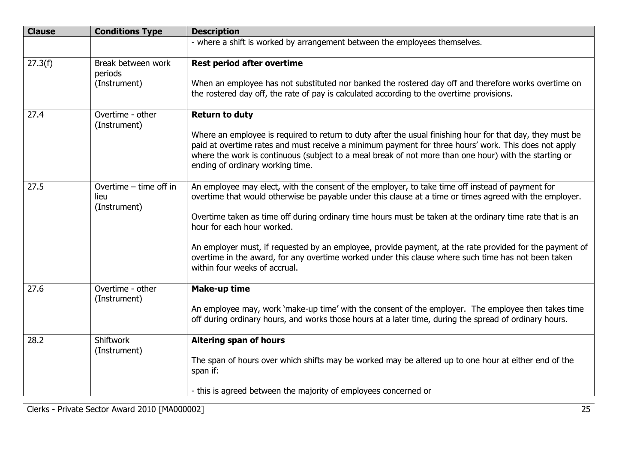| <b>Clause</b> | <b>Conditions Type</b>                         | <b>Description</b>                                                                                                                                                                                                                                                                                                                                                                                                                                                                                                                                                                                       |
|---------------|------------------------------------------------|----------------------------------------------------------------------------------------------------------------------------------------------------------------------------------------------------------------------------------------------------------------------------------------------------------------------------------------------------------------------------------------------------------------------------------------------------------------------------------------------------------------------------------------------------------------------------------------------------------|
|               |                                                | - where a shift is worked by arrangement between the employees themselves.                                                                                                                                                                                                                                                                                                                                                                                                                                                                                                                               |
| 27.3(f)       | Break between work<br>periods<br>(Instrument)  | <b>Rest period after overtime</b><br>When an employee has not substituted nor banked the rostered day off and therefore works overtime on<br>the rostered day off, the rate of pay is calculated according to the overtime provisions.                                                                                                                                                                                                                                                                                                                                                                   |
| 27.4          | Overtime - other<br>(Instrument)               | <b>Return to duty</b><br>Where an employee is required to return to duty after the usual finishing hour for that day, they must be<br>paid at overtime rates and must receive a minimum payment for three hours' work. This does not apply<br>where the work is continuous (subject to a meal break of not more than one hour) with the starting or<br>ending of ordinary working time.                                                                                                                                                                                                                  |
| 27.5          | Overtime - time off in<br>lieu<br>(Instrument) | An employee may elect, with the consent of the employer, to take time off instead of payment for<br>overtime that would otherwise be payable under this clause at a time or times agreed with the employer.<br>Overtime taken as time off during ordinary time hours must be taken at the ordinary time rate that is an<br>hour for each hour worked.<br>An employer must, if requested by an employee, provide payment, at the rate provided for the payment of<br>overtime in the award, for any overtime worked under this clause where such time has not been taken<br>within four weeks of accrual. |
| 27.6          | Overtime - other<br>(Instrument)               | <b>Make-up time</b><br>An employee may, work 'make-up time' with the consent of the employer. The employee then takes time<br>off during ordinary hours, and works those hours at a later time, during the spread of ordinary hours.                                                                                                                                                                                                                                                                                                                                                                     |
| 28.2          | Shiftwork<br>(Instrument)                      | <b>Altering span of hours</b><br>The span of hours over which shifts may be worked may be altered up to one hour at either end of the<br>span if:<br>- this is agreed between the majority of employees concerned or                                                                                                                                                                                                                                                                                                                                                                                     |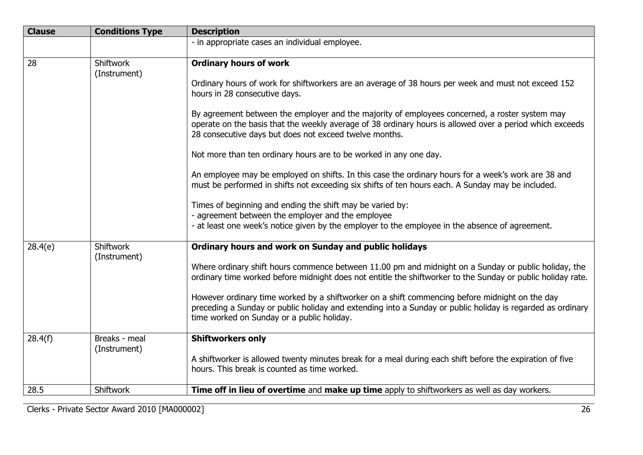| <b>Clause</b> | <b>Conditions Type</b>           | <b>Description</b>                                                                                                                                                                                                                                                   |
|---------------|----------------------------------|----------------------------------------------------------------------------------------------------------------------------------------------------------------------------------------------------------------------------------------------------------------------|
|               |                                  | - in appropriate cases an individual employee.                                                                                                                                                                                                                       |
| 28            | <b>Shiftwork</b><br>(Instrument) | <b>Ordinary hours of work</b>                                                                                                                                                                                                                                        |
|               |                                  | Ordinary hours of work for shiftworkers are an average of 38 hours per week and must not exceed 152<br>hours in 28 consecutive days.                                                                                                                                 |
|               |                                  | By agreement between the employer and the majority of employees concerned, a roster system may<br>operate on the basis that the weekly average of 38 ordinary hours is allowed over a period which exceeds<br>28 consecutive days but does not exceed twelve months. |
|               |                                  | Not more than ten ordinary hours are to be worked in any one day.                                                                                                                                                                                                    |
|               |                                  | An employee may be employed on shifts. In this case the ordinary hours for a week's work are 38 and<br>must be performed in shifts not exceeding six shifts of ten hours each. A Sunday may be included.                                                             |
|               |                                  | Times of beginning and ending the shift may be varied by:                                                                                                                                                                                                            |
|               |                                  | - agreement between the employer and the employee<br>- at least one week's notice given by the employer to the employee in the absence of agreement.                                                                                                                 |
| 28.4(e)       | <b>Shiftwork</b><br>(Instrument) | Ordinary hours and work on Sunday and public holidays                                                                                                                                                                                                                |
|               |                                  | Where ordinary shift hours commence between 11.00 pm and midnight on a Sunday or public holiday, the<br>ordinary time worked before midnight does not entitle the shiftworker to the Sunday or public holiday rate.                                                  |
|               |                                  | However ordinary time worked by a shiftworker on a shift commencing before midnight on the day<br>preceding a Sunday or public holiday and extending into a Sunday or public holiday is regarded as ordinary<br>time worked on Sunday or a public holiday.           |
| 28.4(f)       | Breaks - meal                    | <b>Shiftworkers only</b>                                                                                                                                                                                                                                             |
|               | (Instrument)                     | A shiftworker is allowed twenty minutes break for a meal during each shift before the expiration of five<br>hours. This break is counted as time worked.                                                                                                             |
| 28.5          | <b>Shiftwork</b>                 | Time off in lieu of overtime and make up time apply to shiftworkers as well as day workers.                                                                                                                                                                          |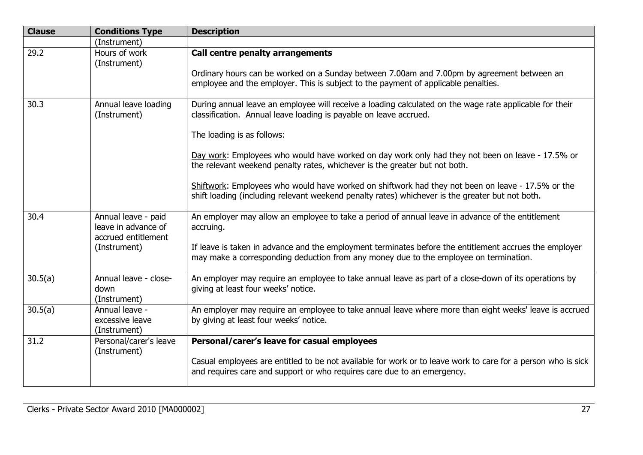| <b>Clause</b> | <b>Conditions Type</b>                                                            | <b>Description</b>                                                                                                                                                                                                                                                                                                                                                                                                                                                                                                                                                                                   |
|---------------|-----------------------------------------------------------------------------------|------------------------------------------------------------------------------------------------------------------------------------------------------------------------------------------------------------------------------------------------------------------------------------------------------------------------------------------------------------------------------------------------------------------------------------------------------------------------------------------------------------------------------------------------------------------------------------------------------|
|               | (Instrument)                                                                      |                                                                                                                                                                                                                                                                                                                                                                                                                                                                                                                                                                                                      |
| 29.2          | Hours of work<br>(Instrument)                                                     | Call centre penalty arrangements<br>Ordinary hours can be worked on a Sunday between 7.00am and 7.00pm by agreement between an<br>employee and the employer. This is subject to the payment of applicable penalties.                                                                                                                                                                                                                                                                                                                                                                                 |
| 30.3          | Annual leave loading<br>(Instrument)                                              | During annual leave an employee will receive a loading calculated on the wage rate applicable for their<br>classification. Annual leave loading is payable on leave accrued.<br>The loading is as follows:<br>Day work: Employees who would have worked on day work only had they not been on leave - 17.5% or<br>the relevant weekend penalty rates, whichever is the greater but not both.<br>Shiftwork: Employees who would have worked on shiftwork had they not been on leave - 17.5% or the<br>shift loading (including relevant weekend penalty rates) whichever is the greater but not both. |
| 30.4          | Annual leave - paid<br>leave in advance of<br>accrued entitlement<br>(Instrument) | An employer may allow an employee to take a period of annual leave in advance of the entitlement<br>accruing.<br>If leave is taken in advance and the employment terminates before the entitlement accrues the employer<br>may make a corresponding deduction from any money due to the employee on termination.                                                                                                                                                                                                                                                                                     |
| 30.5(a)       | Annual leave - close-<br>down<br>(Instrument)                                     | An employer may require an employee to take annual leave as part of a close-down of its operations by<br>giving at least four weeks' notice.                                                                                                                                                                                                                                                                                                                                                                                                                                                         |
| 30.5(a)       | Annual leave -<br>excessive leave<br>(Instrument)                                 | An employer may require an employee to take annual leave where more than eight weeks' leave is accrued<br>by giving at least four weeks' notice.                                                                                                                                                                                                                                                                                                                                                                                                                                                     |
| 31.2          | Personal/carer's leave<br>(Instrument)                                            | Personal/carer's leave for casual employees<br>Casual employees are entitled to be not available for work or to leave work to care for a person who is sick<br>and requires care and support or who requires care due to an emergency.                                                                                                                                                                                                                                                                                                                                                               |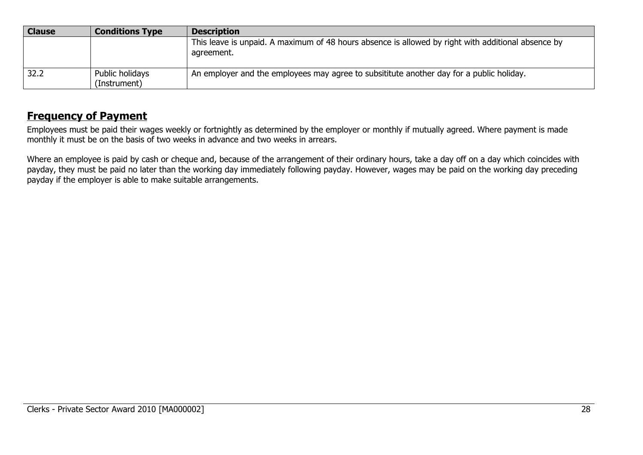| <b>Clause</b> | <b>Conditions Type</b>          | <b>Description</b>                                                                                               |
|---------------|---------------------------------|------------------------------------------------------------------------------------------------------------------|
|               |                                 | This leave is unpaid. A maximum of 48 hours absence is allowed by right with additional absence by<br>agreement. |
| 32.2          | Public holidays<br>(Instrument) | $\perp$ An employer and the employees may agree to subsititute another day for a public holiday.                 |

# **Frequency of Payment**

Employees must be paid their wages weekly or fortnightly as determined by the employer or monthly if mutually agreed. Where payment is made monthly it must be on the basis of two weeks in advance and two weeks in arrears.

Where an employee is paid by cash or cheque and, because of the arrangement of their ordinary hours, take a day off on a day which coincides with payday, they must be paid no later than the working day immediately following payday. However, wages may be paid on the working day preceding payday if the employer is able to make suitable arrangements.